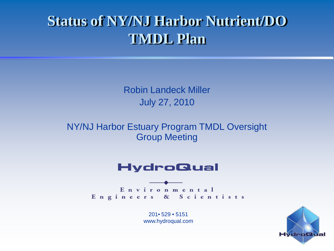### **Status of NY/NJ Harbor Nutrient/DO TMDL Plan**

Robin Landeck Miller July 27, 2010

NY/NJ Harbor Estuary Program TMDL Oversight Group Meeting

### **HydroQual**

Environmental Engineers & Scientists

> 201• 529 • 5151 www.hydroqual.com

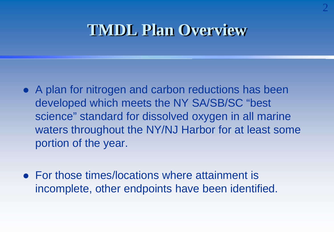### **TMDL Plan Overview**

- A plan for nitrogen and carbon reductions has been developed which meets the NY SA/SB/SC "best science" standard for dissolved oxygen in all marine waters throughout the NY/NJ Harbor for at least some portion of the year.
- For those times/locations where attainment is incomplete, other endpoints have been identified.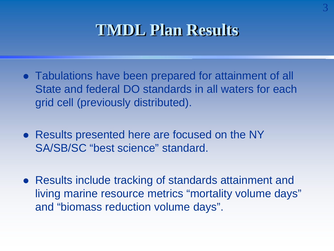## **TMDL Plan Results**

- Tabulations have been prepared for attainment of all State and federal DO standards in all waters for each grid cell (previously distributed).
- Results presented here are focused on the NY SA/SB/SC "best science" standard.
- Results include tracking of standards attainment and living marine resource metrics "mortality volume days" and "biomass reduction volume days".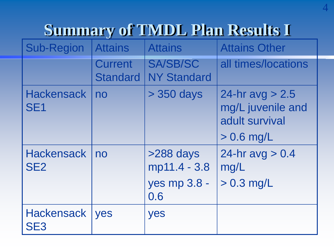# **Summary of TMDL Plan Results I**

| <b>Sub-Region</b>                    | <b>Attains</b>                    | <b>Attains</b>                                   | <b>Attains Other</b>                                                     |
|--------------------------------------|-----------------------------------|--------------------------------------------------|--------------------------------------------------------------------------|
|                                      | <b>Current</b><br><b>Standard</b> | <b>SA/SB/SC</b><br><b>NY Standard</b>            | all times/locations                                                      |
| <b>Hackensack</b><br>SE <sub>1</sub> | no                                | > 350 days                                       | 24-hr avg $> 2.5$<br>mg/L juvenile and<br>adult survival<br>$> 0.6$ mg/L |
| <b>Hackensack</b><br>SE <sub>2</sub> | no                                | >288 days<br>mp11.4 - 3.8<br>yes mp 3.8 -<br>0.6 | 24-hr $avg > 0.4$<br>mg/L<br>$> 0.3$ mg/L                                |
| <b>Hackensack</b><br>SE <sub>3</sub> | <b>Ves</b>                        | yes                                              |                                                                          |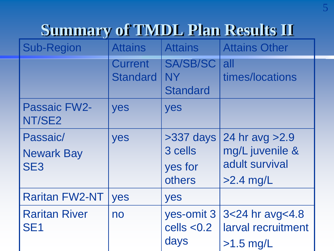## **Summary of TMDL Plan Results II**

| <b>Sub-Region</b>                                | <b>Attains</b>                    | <b>Attains</b>                                  | <b>Attains Other</b>                                                |
|--------------------------------------------------|-----------------------------------|-------------------------------------------------|---------------------------------------------------------------------|
|                                                  | <b>Current</b><br><b>Standard</b> | <b>SA/SB/SC</b><br><b>NY</b><br><b>Standard</b> | all<br>times/locations                                              |
| <b>Passaic FW2-</b><br>NT/SE2                    | yes                               | yes                                             |                                                                     |
| Passaic/<br><b>Newark Bay</b><br>SE <sub>3</sub> | yes                               | $>337$ days<br>3 cells<br>yes for<br>others     | 24 hr avg > 2.9<br>mg/L juvenile &<br>adult survival<br>$>2.4$ mg/L |
| <b>Raritan FW2-NT</b>                            | yes                               | yes                                             |                                                                     |
| <b>Raritan River</b><br><b>SE1</b>               | no                                | yes-omit 3<br>cells $< 0.2$<br>days             | 3<24 hr avg<4.8<br>larval recruitment<br>$>1.5$ mg/L                |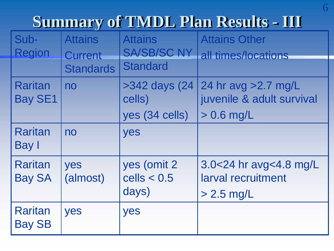## **Summary of TMDL Plan Results - III**

| Sub-<br><b>Region</b>            | <b>Attains</b><br>Current<br><b>Standards</b> | <b>Attains</b><br><b>SA/SB/SC NY</b><br><b>Standard</b> | <b>Attains Other</b><br>all times/locations                        |
|----------------------------------|-----------------------------------------------|---------------------------------------------------------|--------------------------------------------------------------------|
| <b>Raritan</b><br><b>Bay SE1</b> | no                                            | $>342$ days $(24)$<br>cells)<br>yes (34 cells)          | 24 hr avg $>2.7$ mg/L<br>juvenile & adult survival<br>$> 0.6$ mg/L |
| <b>Raritan</b><br>Bay I          | no                                            | yes                                                     |                                                                    |
| <b>Raritan</b><br><b>Bay SA</b>  | yes<br>(almost)                               | yes (omit 2)<br>cells $< 0.5$<br>days)                  | 3.0<24 hr avg<4.8 mg/L<br>larval recruitment<br>$> 2.5$ mg/L       |
| <b>Raritan</b><br><b>Bay SB</b>  | yes                                           | yes                                                     |                                                                    |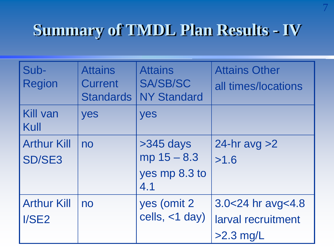## **Summary of TMDL Plan Results - IV**

| Sub-<br><b>Region</b>               | <b>Attains</b><br><b>Current</b><br><b>Standards</b> | <b>Attains</b><br><b>SA/SB/SC</b><br><b>NY Standard</b> | <b>Attains Other</b><br>all times/locations            |
|-------------------------------------|------------------------------------------------------|---------------------------------------------------------|--------------------------------------------------------|
| <b>Kill van</b><br>Kull             | yes                                                  | yes                                                     |                                                        |
| <b>Arthur Kill</b><br><b>SD/SE3</b> | no                                                   | $>345$ days<br>$mp 15 - 8.3$<br>yes mp 8.3 to<br>4.1    | 24-hr avg $>2$<br>>1.6                                 |
| <b>Arthur Kill</b><br>I/SE2         | no                                                   | yes (omit 2)<br>cells, $<$ 1 day)                       | 3.0<24 hr avg<4.8<br>larval recruitment<br>$>2.3$ mg/L |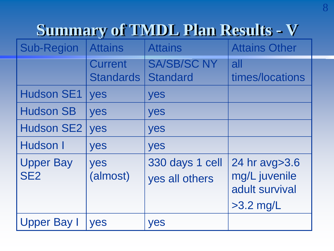## **Summary of TMDL Plan Results - V**

| <b>Sub-Region</b>                   | <b>Attains</b>                     | <b>Attains</b>                        | <b>Attains Other</b>                                            |
|-------------------------------------|------------------------------------|---------------------------------------|-----------------------------------------------------------------|
|                                     | <b>Current</b><br><b>Standards</b> | <b>SA/SB/SC NY</b><br><b>Standard</b> | all<br>times/locations                                          |
| <b>Hudson SE1</b>                   | yes                                | yes                                   |                                                                 |
| <b>Hudson SB</b>                    | yes                                | yes                                   |                                                                 |
| <b>Hudson SE2</b>                   | yes                                | yes                                   |                                                                 |
| Hudson I                            | yes                                | yes                                   |                                                                 |
| <b>Upper Bay</b><br>SE <sub>2</sub> | yes<br>(almost)                    | 330 days 1 cell<br>yes all others     | 24 hr avg>3.6<br>mg/L juvenile<br>adult survival<br>$>3.2$ mg/L |
| <b>Upper Bay I</b>                  | yes                                | yes                                   |                                                                 |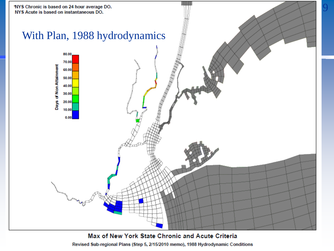

Revised Sub-regional Plans (Step 5, 2/15/2010 memo), 1988 Hydrodynamic Conditions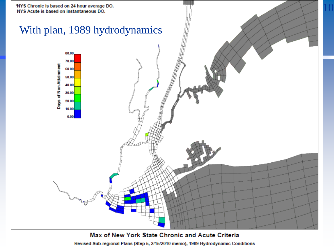

Revised Sub-regional Plans (Step 5, 2/15/2010 memo), 1989 Hydrodynamic Conditions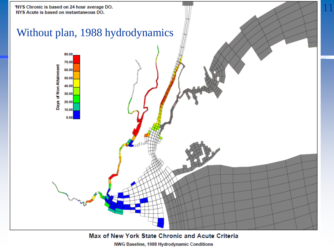

NWG Baseline, 1988 Hydrodynamic Conditions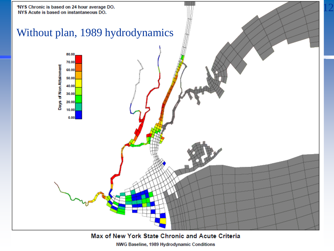

NWG Baseline, 1989 Hydrodynamic Conditions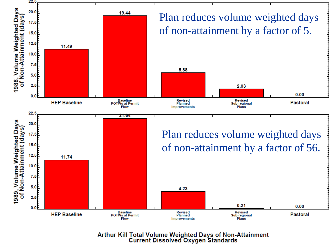

Arthur Kill Total Volume Weighted Days of Non-Attainment<br>Current Dissolved Oxygen Standards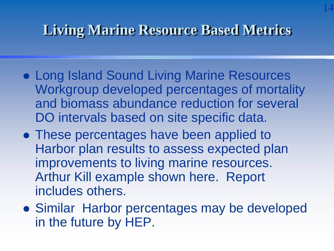### **Living Marine Resource Based Metrics**

14

- Long Island Sound Living Marine Resources Workgroup developed percentages of mortality and biomass abundance reduction for several DO intervals based on site specific data.
- These percentages have been applied to Harbor plan results to assess expected plan improvements to living marine resources. Arthur Kill example shown here. Report includes others.
- Similar Harbor percentages may be developed in the future by HEP.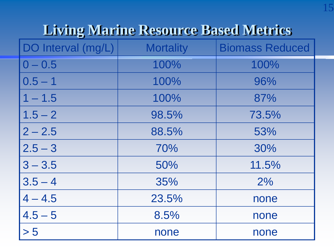### **Living Marine Resource Based Metrics**

| DO Interval (mg/L) | <b>Mortality</b> | <b>Biomass Reduced</b> |
|--------------------|------------------|------------------------|
| $0 - 0.5$          | 100%             | 100%                   |
| $0.5 - 1$          | 100%             | 96%                    |
| $1 - 1.5$          | 100%             | 87%                    |
| $1.5 - 2$          | 98.5%            | 73.5%                  |
| $2 - 2.5$          | 88.5%            | 53%                    |
| $2.5 - 3$          | 70%              | 30%                    |
| $3 - 3.5$          | 50%              | 11.5%                  |
| $3.5 - 4$          | 35%              | 2%                     |
| $4 - 4.5$          | 23.5%            | none                   |
| $4.5 - 5$          | 8.5%             | none                   |
| > 5                | none             | none                   |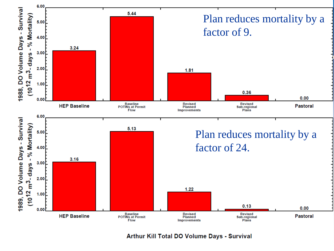

**Arthur Kill Total DO Volume Days - Survival**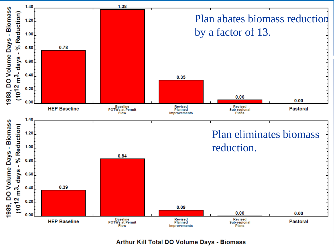

**Arthur Kill Total DO Volume Days - Biomass**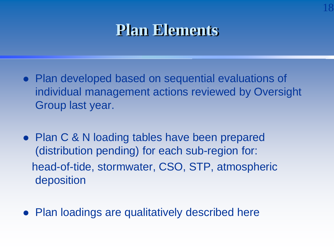### **Plan Elements**

18

- Plan developed based on sequential evaluations of individual management actions reviewed by Oversight Group last year.
- Plan C & N loading tables have been prepared (distribution pending) for each sub-region for: head-of-tide, stormwater, CSO, STP, atmospheric deposition
- Plan loadings are qualitatively described here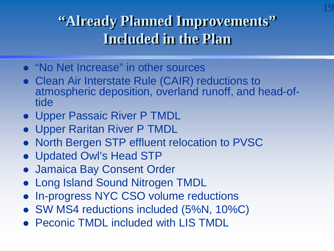### **"Already Planned Improvements" Included in the Plan**

19

- "No Net Increase" in other sources
- Clean Air Interstate Rule (CAIR) reductions to atmospheric deposition, overland runoff, and head-of- tide
- Upper Passaic River P TMDL
- Upper Raritan River P TMDL
- North Bergen STP effluent relocation to PVSC
- Updated Owl's Head STP
- Jamaica Bay Consent Order
- Long Island Sound Nitrogen TMDL
- In-progress NYC CSO volume reductions
- SW MS4 reductions included (5%N, 10%C)
- Peconic TMDL included with LIS TMDL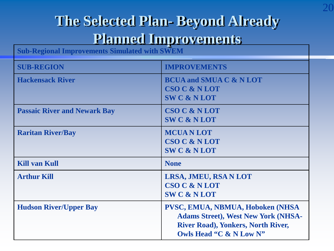### **The Selected Plan- Beyond Already Planned Improvements**

**Sub-Regional Improvements Simulated with SWEM** 

| <b>SUB-REGION</b>                   | <b>IMPROVEMENTS</b>                                                                                                                                     |
|-------------------------------------|---------------------------------------------------------------------------------------------------------------------------------------------------------|
| <b>Hackensack River</b>             | <b>BCUA and SMUA C &amp; N LOT</b><br><b>CSO C &amp; N LOT</b><br><b>SWC &amp; NLOT</b>                                                                 |
| <b>Passaic River and Newark Bay</b> | <b>CSO C &amp; N LOT</b><br><b>SWC &amp; NLOT</b>                                                                                                       |
| <b>Raritan River/Bay</b>            | <b>MCUANLOT</b><br><b>CSO C &amp; N LOT</b><br><b>SWC &amp; NLOT</b>                                                                                    |
| <b>Kill van Kull</b>                | <b>None</b>                                                                                                                                             |
| <b>Arthur Kill</b>                  | LRSA, JMEU, RSA N LOT<br><b>CSO C &amp; N LOT</b><br><b>SWC &amp; NLOT</b>                                                                              |
| <b>Hudson River/Upper Bay</b>       | PVSC, EMUA, NBMUA, Hoboken (NHSA)<br><b>Adams Street), West New York (NHSA-</b><br><b>River Road), Yonkers, North River,</b><br>Owls Head "C & N Low N" |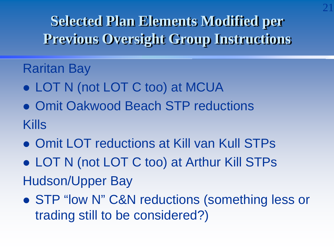**Selected Plan Elements Modified per Previous Oversight Group Instructions**

### Raritan Bay

- LOT N (not LOT C too) at MCUA
- **Omit Oakwood Beach STP reductions** Kills
- **Omit LOT reductions at Kill van Kull STPs**
- LOT N (not LOT C too) at Arthur Kill STPs Hudson/Upper Bay
- STP "low N" C&N reductions (something less or trading still to be considered?)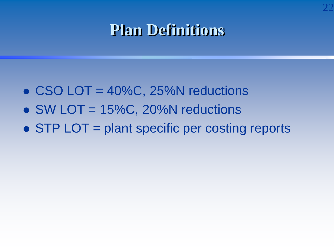### **Plan Definitions**

22

- $\bullet$  CSO LOT = 40%C, 25%N reductions
- $\bullet$  SW LOT = 15%C, 20%N reductions
- STP LOT = plant specific per costing reports